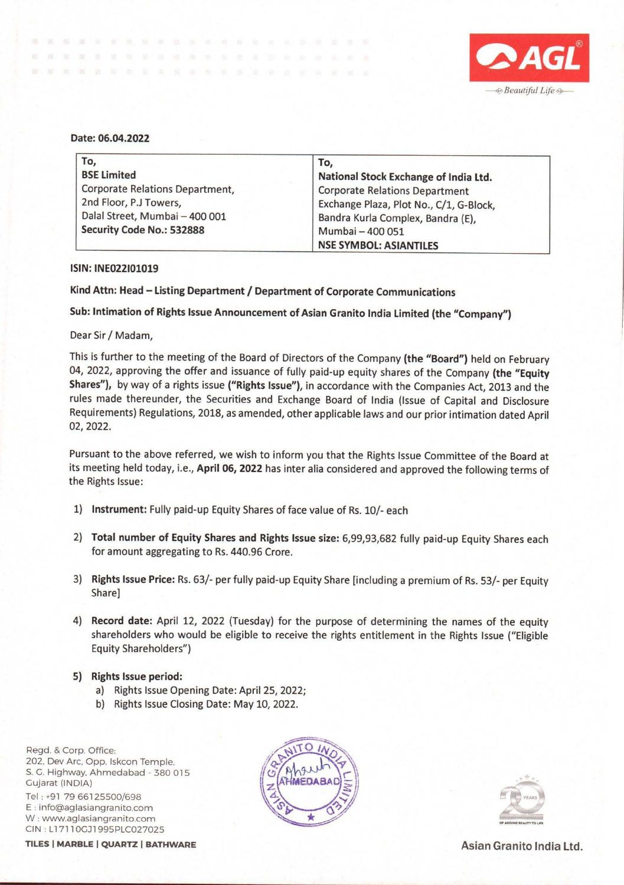

## **Date: 06.04.2022**

| To.                             | To,                                     |
|---------------------------------|-----------------------------------------|
| <b>BSE Limited</b>              | National Stock Exchange of India Ltd.   |
| Corporate Relations Department, | <b>Corporate Relations Department</b>   |
| 2nd Floor, P.J Towers,          | Exchange Plaza, Plot No., C/1, G-Block, |
| Dalal Street, Mumbai - 400 001  | Bandra Kurla Complex, Bandra (E),       |
| Security Code No.: 532888       | Mumbai - 400 051                        |
|                                 | <b>NSE SYMBOL: ASIANTILES</b>           |

## **ISIN: INE022101019**

**Kind Attn: Head** - **Listing Department/ Department of Corporate Communications** 

**Sub: Intimation of Rights Issue Announcement of Asian Granito India Limited (the "Company")** 

## Dear Sir/ Madam,

This is further to the meeting of the Board of Directors of the Company **(the "Board")** held on February 04, 2022, approving the offer and issuance of fully paid-up equity shares of the Company **(the "Equity Shares"),** by way of a rights issue **("Rights Issue"),** in accordance with the Companies Act, 2013 and the rules made thereunder, the Securities and Exchange Board of India (Issue of Capital and Disclosure Requirements) Regulations, 2018, as amended, other applicable laws and our prior intimation dated April 02, 2022.

Pursuant to the above referred, we wish to inform you that the Rights Issue Committee of the Board at its meeting held today, i.e., **April 06, 2022** has inter alia considered and approved the following terms of the Rights Issue:

- 1) **Instrument:** Fully paid-up Equity Shares of face value of Rs. 10/- each
- 2) **Total number of Equity Shares and Rights Issue size:** 6,99,93,682 fully paid-up Equity Shares each for amount aggregating to Rs. 440.96 Crore.
- 3) **Rights Issue Price:** Rs. 63/- per fully paid-up Equity Share [including a premium of Rs. 53/- per Equity Share]
- **4) Record date:** April 12, 2022 (Tuesday) for the purpose of determining the names of the equity shareholders who would be eligible to receive the rights entitlement in the Rights Issue ("Eligible Equity Shareholders")
- **S) Rights Issue period:** 
	- a) Rights Issue Opening Date: April 25, 2022;
	- b) Rights Issue Closing Date: May 10, 2022.

Regd. & Corp. Office: 202. Dev Arc. Opp. lskcon Temple. S. G. Highway, Ahmedabad - 380 015 Gujarat (INDIA) Tel : +91 79 66125500/698 E : info@aglasiangranito.com W: www.aglasiangranito.com CIN: L17110GJ1995PLC027025

**TILES | MARBLE | QUARTZ | BATHWARE | CONSUMITED ASIAN GRANITO INDIA Ltd.**